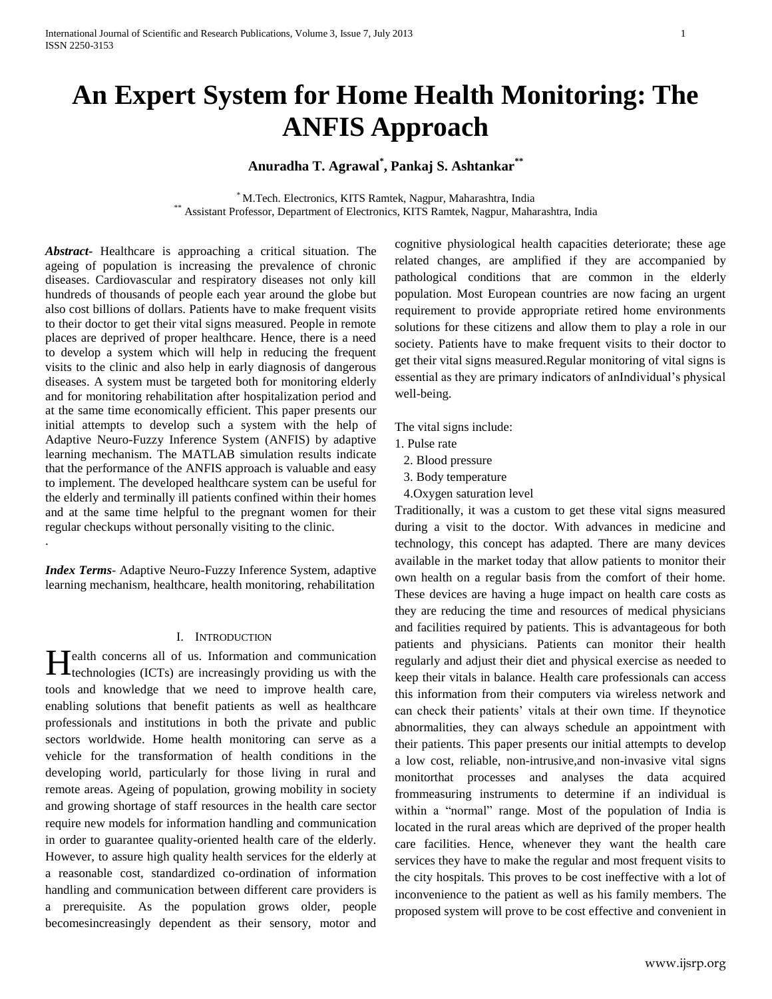# **An Expert System for Home Health Monitoring: The ANFIS Approach**

# **Anuradha T. Agrawal\* , Pankaj S. Ashtankar \*\***

\* M.Tech. Electronics, KITS Ramtek, Nagpur, Maharashtra, India \*\* Assistant Professor, Department of Electronics, KITS Ramtek, Nagpur, Maharashtra, India

*Abstract***-** Healthcare is approaching a critical situation. The ageing of population is increasing the prevalence of chronic diseases. Cardiovascular and respiratory diseases not only kill hundreds of thousands of people each year around the globe but also cost billions of dollars. Patients have to make frequent visits to their doctor to get their vital signs measured. People in remote places are deprived of proper healthcare. Hence, there is a need to develop a system which will help in reducing the frequent visits to the clinic and also help in early diagnosis of dangerous diseases. A system must be targeted both for monitoring elderly and for monitoring rehabilitation after hospitalization period and at the same time economically efficient. This paper presents our initial attempts to develop such a system with the help of Adaptive Neuro-Fuzzy Inference System (ANFIS) by adaptive learning mechanism. The MATLAB simulation results indicate that the performance of the ANFIS approach is valuable and easy to implement. The developed healthcare system can be useful for the elderly and terminally ill patients confined within their homes and at the same time helpful to the pregnant women for their regular checkups without personally visiting to the clinic.

*Index Terms*- Adaptive Neuro-Fuzzy Inference System, adaptive learning mechanism, healthcare, health monitoring, rehabilitation

.

## I. INTRODUCTION

ealth concerns all of us. Information and communication Health concerns all of us. Information and communication technologies (ICTs) are increasingly providing us with the tools and knowledge that we need to improve health care, enabling solutions that benefit patients as well as healthcare professionals and institutions in both the private and public sectors worldwide. Home health monitoring can serve as a vehicle for the transformation of health conditions in the developing world, particularly for those living in rural and remote areas. Ageing of population, growing mobility in society and growing shortage of staff resources in the health care sector require new models for information handling and communication in order to guarantee quality-oriented health care of the elderly. However, to assure high quality health services for the elderly at a reasonable cost, standardized co-ordination of information handling and communication between different care providers is a prerequisite. As the population grows older, people becomesincreasingly dependent as their sensory, motor and

cognitive physiological health capacities deteriorate; these age related changes, are amplified if they are accompanied by pathological conditions that are common in the elderly population. Most European countries are now facing an urgent requirement to provide appropriate retired home environments solutions for these citizens and allow them to play a role in our society. Patients have to make frequent visits to their doctor to get their vital signs measured.Regular monitoring of vital signs is essential as they are primary indicators of anIndividual's physical well-being.

The vital signs include:

- 1. Pulse rate
- 2. Blood pressure
- 3. Body temperature
- 4.Oxygen saturation level

Traditionally, it was a custom to get these vital signs measured during a visit to the doctor. With advances in medicine and technology, this concept has adapted. There are many devices available in the market today that allow patients to monitor their own health on a regular basis from the comfort of their home. These devices are having a huge impact on health care costs as they are reducing the time and resources of medical physicians and facilities required by patients. This is advantageous for both patients and physicians. Patients can monitor their health regularly and adjust their diet and physical exercise as needed to keep their vitals in balance. Health care professionals can access this information from their computers via wireless network and can check their patients' vitals at their own time. If theynotice abnormalities, they can always schedule an appointment with their patients. This paper presents our initial attempts to develop a low cost, reliable, non-intrusive,and non-invasive vital signs monitorthat processes and analyses the data acquired frommeasuring instruments to determine if an individual is within a "normal" range. Most of the population of India is located in the rural areas which are deprived of the proper health care facilities. Hence, whenever they want the health care services they have to make the regular and most frequent visits to the city hospitals. This proves to be cost ineffective with a lot of inconvenience to the patient as well as his family members. The proposed system will prove to be cost effective and convenient in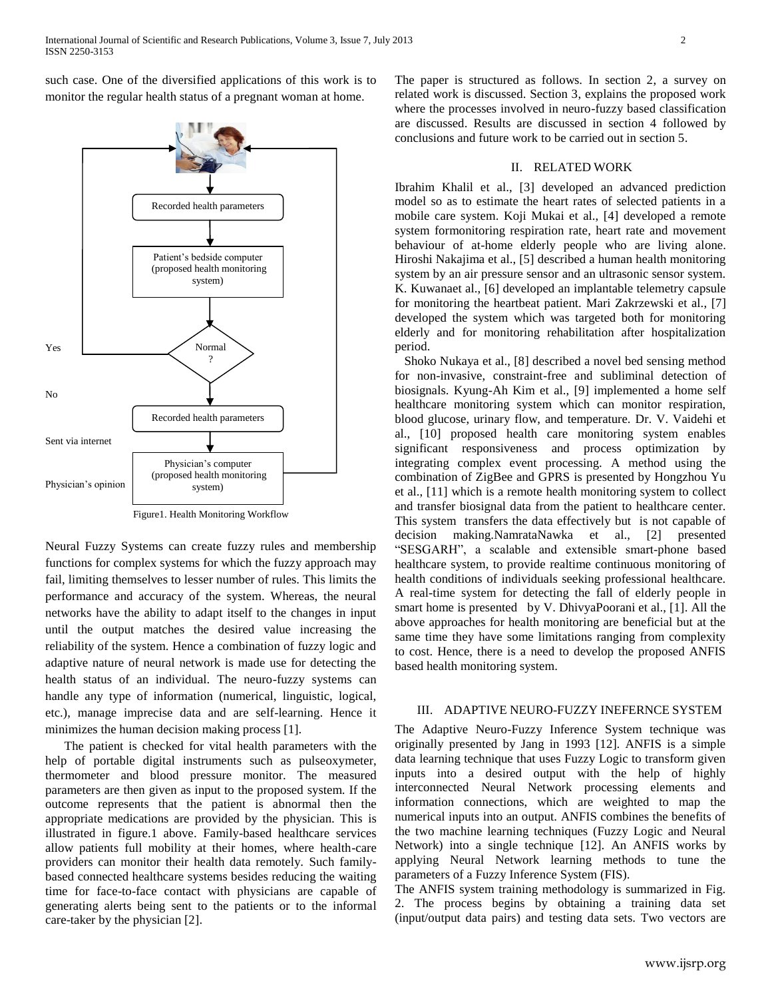such case. One of the diversified applications of this work is to monitor the regular health status of a pregnant woman at home.



Figure1. Health Monitoring Workflow

Neural Fuzzy Systems can create fuzzy rules and membership functions for complex systems for which the fuzzy approach may fail, limiting themselves to lesser number of rules. This limits the performance and accuracy of the system. Whereas, the neural networks have the ability to adapt itself to the changes in input until the output matches the desired value increasing the reliability of the system. Hence a combination of fuzzy logic and adaptive nature of neural network is made use for detecting the health status of an individual. The neuro-fuzzy systems can handle any type of information (numerical, linguistic, logical, etc.), manage imprecise data and are self-learning. Hence it minimizes the human decision making process [1].

 The patient is checked for vital health parameters with the help of portable digital instruments such as pulseoxymeter, thermometer and blood pressure monitor. The measured parameters are then given as input to the proposed system. If the outcome represents that the patient is abnormal then the appropriate medications are provided by the physician. This is illustrated in figure.1 above. Family-based healthcare services allow patients full mobility at their homes, where health-care providers can monitor their health data remotely. Such familybased connected healthcare systems besides reducing the waiting time for face-to-face contact with physicians are capable of generating alerts being sent to the patients or to the informal care-taker by the physician [2].

The paper is structured as follows. In section 2, a survey on related work is discussed. Section 3, explains the proposed work where the processes involved in neuro-fuzzy based classification are discussed. Results are discussed in section 4 followed by conclusions and future work to be carried out in section 5.

## II. RELATED WORK

Ibrahim Khalil et al., [3] developed an advanced prediction model so as to estimate the heart rates of selected patients in a mobile care system. Koji Mukai et al., [4] developed a remote system formonitoring respiration rate, heart rate and movement behaviour of at-home elderly people who are living alone. Hiroshi Nakajima et al., [5] described a human health monitoring system by an air pressure sensor and an ultrasonic sensor system. K. Kuwanaet al., [6] developed an implantable telemetry capsule for monitoring the heartbeat patient. Mari Zakrzewski et al., [7] developed the system which was targeted both for monitoring elderly and for monitoring rehabilitation after hospitalization period.

 Shoko Nukaya et al., [8] described a novel bed sensing method for non-invasive, constraint-free and subliminal detection of biosignals. Kyung-Ah Kim et al., [9] implemented a home self healthcare monitoring system which can monitor respiration, blood glucose, urinary flow, and temperature. Dr. V. Vaidehi et al., [10] proposed health care monitoring system enables significant responsiveness and process optimization by integrating complex event processing. A method using the combination of ZigBee and GPRS is presented by Hongzhou Yu et al., [11] which is a remote health monitoring system to collect and transfer biosignal data from the patient to healthcare center. This system transfers the data effectively but is not capable of decision making.NamrataNawka et al., [2] presented "SESGARH", a scalable and extensible smart-phone based healthcare system, to provide realtime continuous monitoring of health conditions of individuals seeking professional healthcare. A real-time system for detecting the fall of elderly people in smart home is presented by V. DhivyaPoorani et al., [1]. All the above approaches for health monitoring are beneficial but at the same time they have some limitations ranging from complexity to cost. Hence, there is a need to develop the proposed ANFIS based health monitoring system.

### III. ADAPTIVE NEURO-FUZZY INEFERNCE SYSTEM

The Adaptive Neuro-Fuzzy Inference System technique was originally presented by Jang in 1993 [12]. ANFIS is a simple data learning technique that uses Fuzzy Logic to transform given inputs into a desired output with the help of highly interconnected Neural Network processing elements and information connections, which are weighted to map the numerical inputs into an output. ANFIS combines the benefits of the two machine learning techniques (Fuzzy Logic and Neural Network) into a single technique [12]. An ANFIS works by applying Neural Network learning methods to tune the parameters of a Fuzzy Inference System (FIS).

The ANFIS system training methodology is summarized in Fig. 2. The process begins by obtaining a training data set (input/output data pairs) and testing data sets. Two vectors are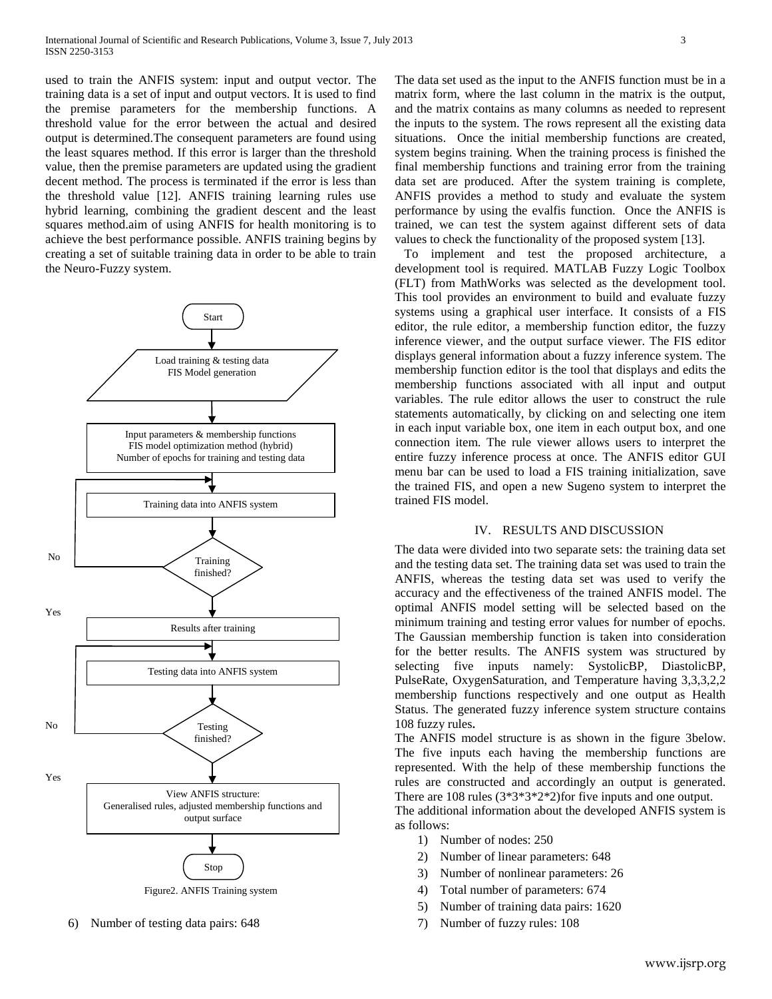used to train the ANFIS system: input and output vector. The training data is a set of input and output vectors. It is used to find the premise parameters for the membership functions. A threshold value for the error between the actual and desired output is determined.The consequent parameters are found using the least squares method. If this error is larger than the threshold value, then the premise parameters are updated using the gradient decent method. The process is terminated if the error is less than the threshold value [12]. ANFIS training learning rules use hybrid learning, combining the gradient descent and the least squares method.aim of using ANFIS for health monitoring is to achieve the best performance possible. ANFIS training begins by creating a set of suitable training data in order to be able to train the Neuro-Fuzzy system.



The data set used as the input to the ANFIS function must be in a matrix form, where the last column in the matrix is the output, and the matrix contains as many columns as needed to represent the inputs to the system. The rows represent all the existing data situations. Once the initial membership functions are created, system begins training. When the training process is finished the final membership functions and training error from the training data set are produced. After the system training is complete, ANFIS provides a method to study and evaluate the system performance by using the evalfis function. Once the ANFIS is trained, we can test the system against different sets of data values to check the functionality of the proposed system [13].

 To implement and test the proposed architecture, a development tool is required. MATLAB Fuzzy Logic Toolbox (FLT) from MathWorks was selected as the development tool. This tool provides an environment to build and evaluate fuzzy systems using a graphical user interface. It consists of a FIS editor, the rule editor, a membership function editor, the fuzzy inference viewer, and the output surface viewer. The FIS editor displays general information about a fuzzy inference system. The membership function editor is the tool that displays and edits the membership functions associated with all input and output variables. The rule editor allows the user to construct the rule statements automatically, by clicking on and selecting one item in each input variable box, one item in each output box, and one connection item. The rule viewer allows users to interpret the entire fuzzy inference process at once. The ANFIS editor GUI menu bar can be used to load a FIS training initialization, save the trained FIS, and open a new Sugeno system to interpret the trained FIS model.

#### IV. RESULTS AND DISCUSSION

The data were divided into two separate sets: the training data set and the testing data set. The training data set was used to train the ANFIS, whereas the testing data set was used to verify the accuracy and the effectiveness of the trained ANFIS model. The optimal ANFIS model setting will be selected based on the minimum training and testing error values for number of epochs. The Gaussian membership function is taken into consideration for the better results. The ANFIS system was structured by selecting five inputs namely: SystolicBP, DiastolicBP, PulseRate, OxygenSaturation, and Temperature having 3,3,3,2,2 membership functions respectively and one output as Health Status. The generated fuzzy inference system structure contains 108 fuzzy rules**.**

The ANFIS model structure is as shown in the figure 3below. The five inputs each having the membership functions are represented. With the help of these membership functions the rules are constructed and accordingly an output is generated. There are 108 rules (3\*3\*3\*2\*2)for five inputs and one output.

The additional information about the developed ANFIS system is as follows:

- 1) Number of nodes: 250
- 2) Number of linear parameters: 648
- 3) Number of nonlinear parameters: 26
- 4) Total number of parameters: 674
- 5) Number of training data pairs: 1620
- 6) Number of testing data pairs: 648 7) Number of fuzzy rules: 108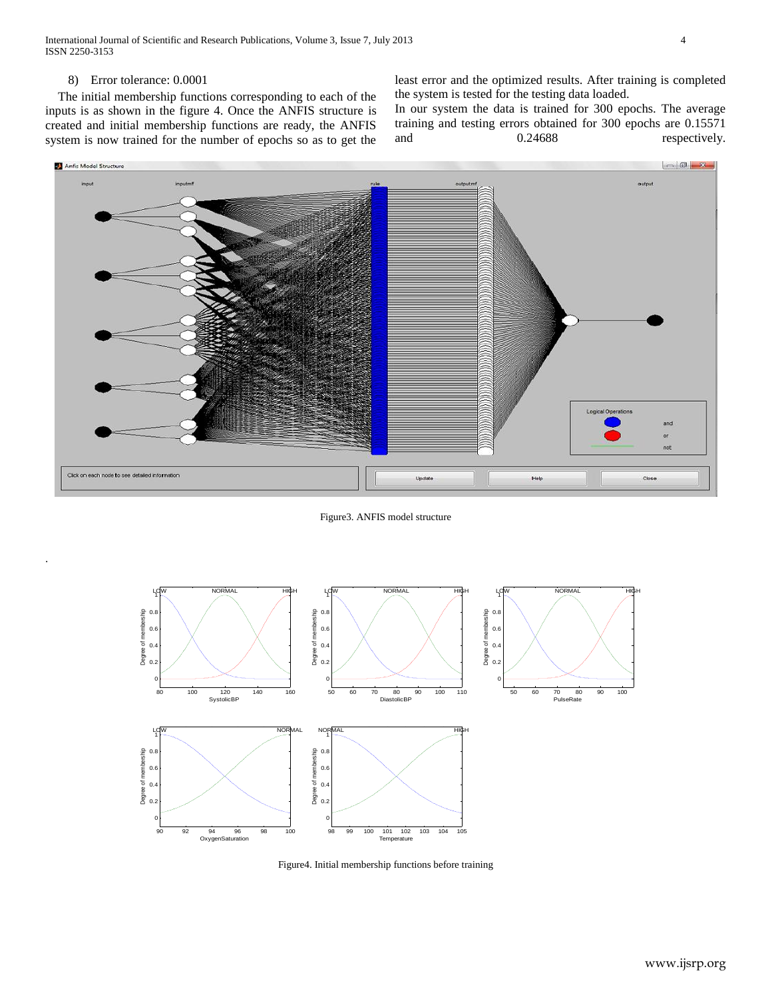International Journal of Scientific and Research Publications, Volume 3, Issue 7, July 2013 4 ISSN 2250-3153

## 8) Error tolerance: 0.0001

.

 The initial membership functions corresponding to each of the inputs is as shown in the figure 4. Once the ANFIS structure is created and initial membership functions are ready, the ANFIS system is now trained for the number of epochs so as to get the

least error and the optimized results. After training is completed the system is tested for the testing data loaded.

In our system the data is trained for 300 epochs. The average training and testing errors obtained for 300 epochs are 0.15571 and 0.24688 respectively.



Figure3. ANFIS model structure



Figure4. Initial membership functions before training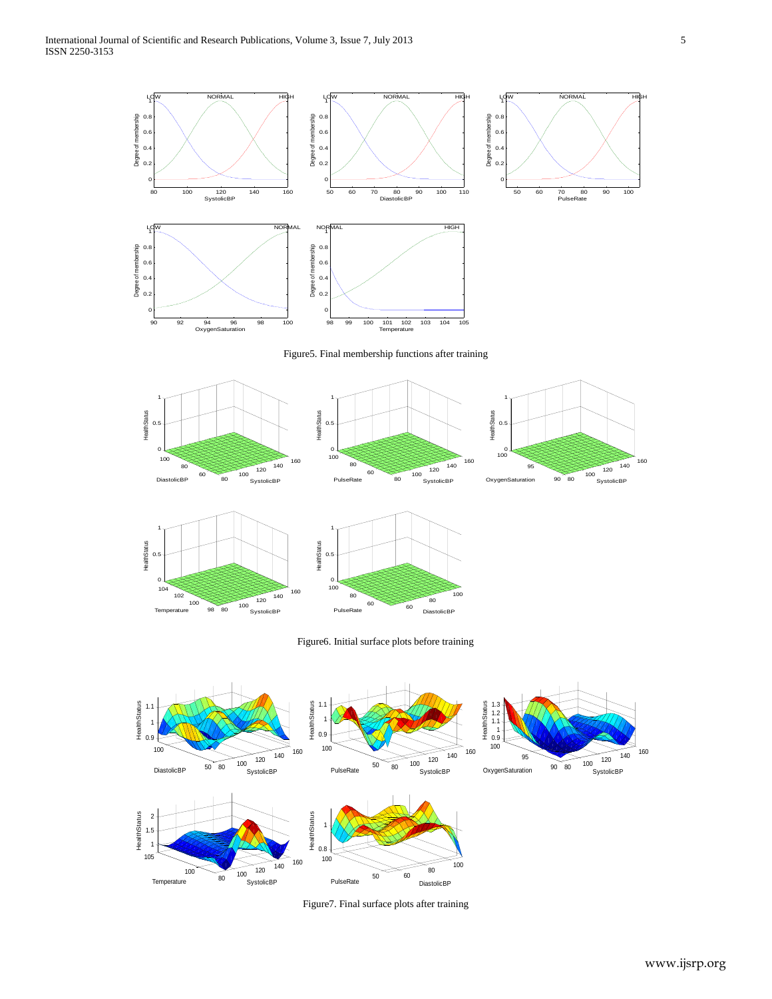

Figure5. Final membership functions after training











Figure6. Initial surface plots before training



Figure7. Final surface plots after training